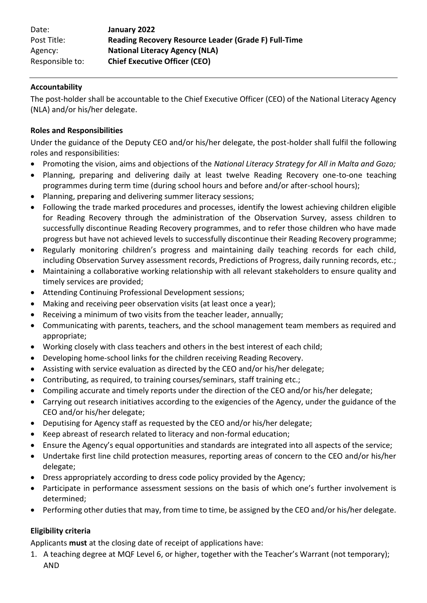| Date:           | January 2022                                         |  |
|-----------------|------------------------------------------------------|--|
| Post Title:     | Reading Recovery Resource Leader (Grade F) Full-Time |  |
| Agency:         | <b>National Literacy Agency (NLA)</b>                |  |
| Responsible to: | <b>Chief Executive Officer (CEO)</b>                 |  |
|                 |                                                      |  |

#### **Accountability**

The post-holder shall be accountable to the Chief Executive Officer (CEO) of the National Literacy Agency (NLA) and/or his/her delegate.

#### **Roles and Responsibilities**

Under the guidance of the Deputy CEO and/or his/her delegate, the post-holder shall fulfil the following roles and responsibilities:

- Promoting the vision, aims and objections of the *National Literacy Strategy for All in Malta and Gozo;*
- Planning, preparing and delivering daily at least twelve Reading Recovery one-to-one teaching programmes during term time (during school hours and before and/or after-school hours);
- Planning, preparing and delivering summer literacy sessions;
- Following the trade marked procedures and processes, identify the lowest achieving children eligible for Reading Recovery through the administration of the Observation Survey, assess children to successfully discontinue Reading Recovery programmes, and to refer those children who have made progress but have not achieved levels to successfully discontinue their Reading Recovery programme;
- Regularly monitoring children's progress and maintaining daily teaching records for each child, including Observation Survey assessment records, Predictions of Progress, daily running records, etc.;
- Maintaining a collaborative working relationship with all relevant stakeholders to ensure quality and timely services are provided;
- Attending Continuing Professional Development sessions;
- Making and receiving peer observation visits (at least once a year);
- Receiving a minimum of two visits from the teacher leader, annually;
- Communicating with parents, teachers, and the school management team members as required and appropriate;
- Working closely with class teachers and others in the best interest of each child;
- Developing home-school links for the children receiving Reading Recovery.
- Assisting with service evaluation as directed by the CEO and/or his/her delegate;
- Contributing, as required, to training courses/seminars, staff training etc.;
- Compiling accurate and timely reports under the direction of the CEO and/or his/her delegate;
- Carrying out research initiatives according to the exigencies of the Agency, under the guidance of the CEO and/or his/her delegate;
- Deputising for Agency staff as requested by the CEO and/or his/her delegate;
- Keep abreast of research related to literacy and non-formal education;
- Ensure the Agency's equal opportunities and standards are integrated into all aspects of the service;
- Undertake first line child protection measures, reporting areas of concern to the CEO and/or his/her delegate;
- Dress appropriately according to dress code policy provided by the Agency;
- Participate in performance assessment sessions on the basis of which one's further involvement is determined;
- Performing other duties that may, from time to time, be assigned by the CEO and/or his/her delegate.

## **Eligibility criteria**

Applicants **must** at the closing date of receipt of applications have:

1. A teaching degree at MQF Level 6, or higher, together with the Teacher's Warrant (not temporary); AND